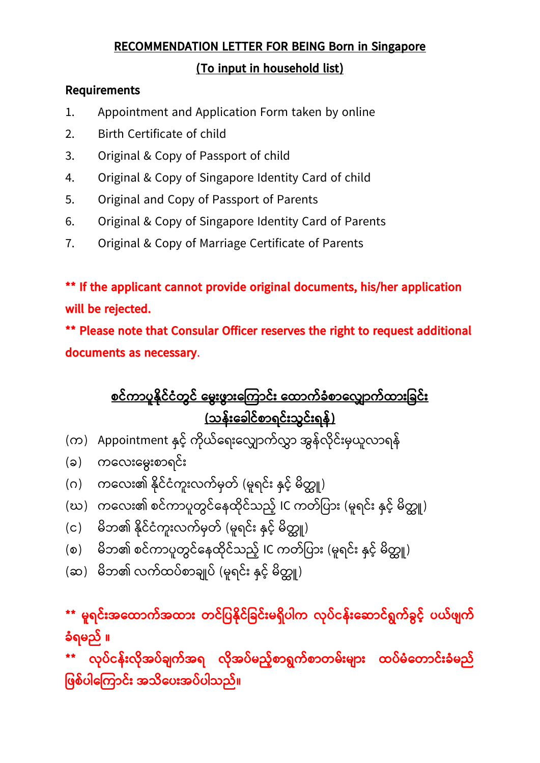## **RECOMMENDATION LETTER FOR BEING Born in Singapore**

## **(To input in household list)**

## **Requirements**

- 1. Appointment and Application Form taken by online
- 2. Birth Certificate of child
- 3. Original & Copy of Passport of child
- 4. Original & Copy of Singapore Identity Card of child
- 5. Original and Copy of Passport of Parents
- 6. Original & Copy of Singapore Identity Card of Parents
- 7. Original & Copy of Marriage Certificate of Parents

**\*\* If the applicant cannot provide original documents, his/her application will be rejected.** 

**\*\* Please note that Consular Officer reserves the right to request additional documents as necessary**.

**စင်ကာပူန ိုင်ငံတွင် မ ွွေးဖွာွေးမ ကာင်ွေး မထာက်ခံစာမ ာက်ထာွေးခခင်ွေး (သန်ွေးမခေါင်စာရင်ွေးသွင်ွေးရန်)**

- (က) Appointment နှင့် ကိုယ်ရေးလျှောက်လွှာ အွန်လိုင်းမှယူလာရန်
- (ခ) ကလေးမွေးစာရင်း
- (ဂ) ကလေး၏ နိုင်ငံကူးလက်မှတ် (မူရင်း နှင့် မိတ္တူ)
- (ဃ) ကလေး၏ စင်ကာပူတွင်နေထိုင်သည့် IC ကတ်ပြား (မူရင်း နှင့် မိတ္တူ)
- (င) မိဘ၏ နိုင်ငံကူးလက်မှတ် (မူရင်း နှင့် မိတ္တူ)
- (စ) မိဘ၏ စင်ကာပူတွင်နေထိုင်သည့် IC ကတ်ပြား (မူရင်း နှင့် မိတ္တူ)
- (ဆ) မိဘ၏ လက်ထပ်စာချုပ် (မူရင်း နှင့် မိတ္တူ)

**\*\* ူရင်ွေးအမထာက်အထာွေး တင်ခပန ိုင်ခခင်ွေး ရ ပေါက ိုပ်ငန်ွေးမ ာင်ရွက်ခွင့်် ပယ်ဖျက် ခံရ ည် ။**

**\*\* ိုပ်ငန်ွေး ိုအပ်ချက်အရ ိုအပ် ည့််စာရွက်စာတ ်ွေး ျာွေး ထပ် ံမတာင်ွေးခံ ည် ခဖစ်ပေါမ ကာင်ွေး အသ မပွေးအပ်ပေါသည်။**